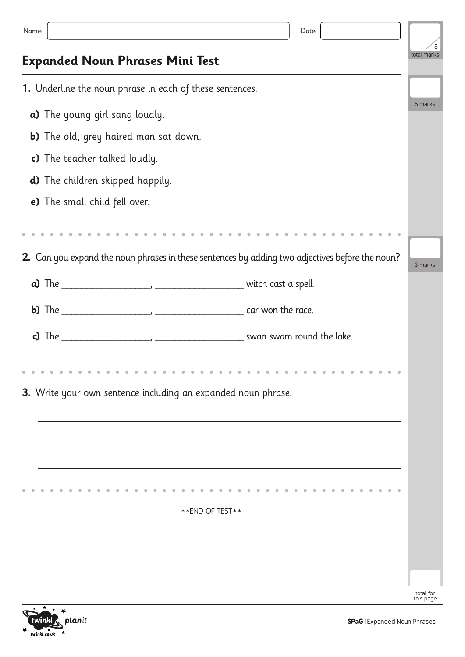| Name:                                                                                                                                    | Date: |  |         |
|------------------------------------------------------------------------------------------------------------------------------------------|-------|--|---------|
| <b>Expanded Noun Phrases Mini Test</b>                                                                                                   |       |  |         |
| 1. Underline the noun phrase in each of these sentences.                                                                                 |       |  |         |
| a) The young girl sang loudly.                                                                                                           |       |  |         |
| <b>b)</b> The old, grey haired man sat down.                                                                                             |       |  |         |
| c) The teacher talked loudly.                                                                                                            |       |  |         |
| <b>d)</b> The children skipped happily.                                                                                                  |       |  |         |
| e) The small child fell over.                                                                                                            |       |  |         |
|                                                                                                                                          |       |  |         |
| 2. Can you expand the noun phrases in these sentences by adding two adjectives before the noun?                                          |       |  | 3 marks |
|                                                                                                                                          |       |  |         |
|                                                                                                                                          |       |  |         |
| c) The $\frac{1}{2}$ The $\frac{1}{2}$ The $\frac{1}{2}$ and $\frac{1}{2}$ and $\frac{1}{2}$ and $\frac{1}{2}$ swan swam round the lake. |       |  |         |
|                                                                                                                                          |       |  |         |
| 3. Write your own sentence including an expanded noun phrase.                                                                            |       |  |         |
|                                                                                                                                          |       |  |         |
|                                                                                                                                          |       |  |         |
|                                                                                                                                          |       |  |         |
|                                                                                                                                          |       |  |         |
| ** END OF TEST **                                                                                                                        |       |  |         |
|                                                                                                                                          |       |  |         |
|                                                                                                                                          |       |  |         |
|                                                                                                                                          |       |  |         |
|                                                                                                                                          |       |  |         |

 $\frac{1}{2}$ planit twinkl  $\overline{\mathcal{C}}$ twinkl.co.uk  $\mathbf{r}$ 

total for this page